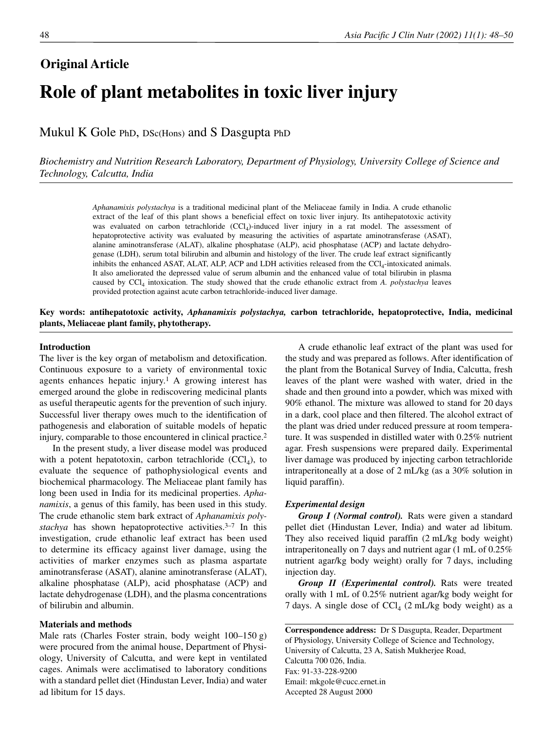# **Original Article Role of plant metabolites in toxic liver injury**

Mukul K Gole PhD, DSc(Hons) and S Dasgupta PhD

*Biochemistry and Nutrition Research Laboratory, Department of Physiology, University College of Science and Technology, Calcutta, India*

> *Aphanamixis polystachya* is a traditional medicinal plant of the Meliaceae family in India. A crude ethanolic extract of the leaf of this plant shows a beneficial effect on toxic liver injury. Its antihepatotoxic activity was evaluated on carbon tetrachloride (CCl<sub>4</sub>)-induced liver injury in a rat model. The assessment of hepatoprotective activity was evaluated by measuring the activities of aspartate aminotransferase (ASAT), alanine aminotransferase (ALAT), alkaline phosphatase (ALP), acid phosphatase (ACP) and lactate dehydrogenase (LDH), serum total bilirubin and albumin and histology of the liver. The crude leaf extract significantly inhibits the enhanced ASAT, ALAT, ALP, ACP and LDH activities released from the  $\text{CCI}_4$ -intoxicated animals. It also ameliorated the depressed value of serum albumin and the enhanced value of total bilirubin in plasma caused by CCl4 intoxication. The study showed that the crude ethanolic extract from *A. polystachya* leaves provided protection against acute carbon tetrachloride-induced liver damage.

**Key words: antihepatotoxic activity,** *Aphanamixis polystachya,* **carbon tetrachloride, hepatoprotective, India, medicinal plants, Meliaceae plant family, phytotherapy.**

#### **Introduction**

The liver is the key organ of metabolism and detoxification. Continuous exposure to a variety of environmental toxic agents enhances hepatic injury.<sup>1</sup> A growing interest has emerged around the globe in rediscovering medicinal plants as useful therapeutic agents for the prevention of such injury. Successful liver therapy owes much to the identification of pathogenesis and elaboration of suitable models of hepatic injury, comparable to those encountered in clinical practice.2

In the present study, a liver disease model was produced with a potent hepatotoxin, carbon tetrachloride  $(CCl<sub>4</sub>)$ , to evaluate the sequence of pathophysiological events and biochemical pharmacology. The Meliaceae plant family has long been used in India for its medicinal properties. *Aphanamixis*, a genus of this family, has been used in this study. The crude ethanolic stem bark extract of *Aphanamixis polystachya* has shown hepatoprotective activities.<sup>3–7</sup> In this investigation, crude ethanolic leaf extract has been used to determine its efficacy against liver damage, using the activities of marker enzymes such as plasma aspartate aminotransferase (ASAT), alanine aminotransferase (ALAT), alkaline phosphatase (ALP), acid phosphatase (ACP) and lactate dehydrogenase (LDH), and the plasma concentrations of bilirubin and albumin.

### **Materials and methods**

Male rats (Charles Foster strain, body weight 100–150 g) were procured from the animal house, Department of Physiology, University of Calcutta, and were kept in ventilated cages. Animals were acclimatised to laboratory conditions with a standard pellet diet (Hindustan Lever, India) and water ad libitum for 15 days.

A crude ethanolic leaf extract of the plant was used for the study and was prepared as follows. After identification of the plant from the Botanical Survey of India, Calcutta, fresh leaves of the plant were washed with water, dried in the shade and then ground into a powder, which was mixed with 90% ethanol. The mixture was allowed to stand for 20 days in a dark, cool place and then filtered. The alcohol extract of the plant was dried under reduced pressure at room temperature. It was suspended in distilled water with 0.25% nutrient agar. Fresh suspensions were prepared daily. Experimental liver damage was produced by injecting carbon tetrachloride intraperitoneally at a dose of 2 mL/kg (as a 30% solution in liquid paraffin).

### *Experimental design*

*Group I (Normal control).* Rats were given a standard pellet diet (Hindustan Lever, India) and water ad libitum. They also received liquid paraffin (2 mL/kg body weight) intraperitoneally on 7 days and nutrient agar (1 mL of 0.25% nutrient agar/kg body weight) orally for 7 days, including injection day.

*Group II (Experimental control).* Rats were treated orally with 1 mL of 0.25% nutrient agar/kg body weight for 7 days. A single dose of  $\text{CCl}_4$  (2 mL/kg body weight) as a

**Correspondence address:** Dr S Dasgupta, Reader, Department of Physiology, University College of Science and Technology, University of Calcutta, 23 A, Satish Mukherjee Road, Calcutta 700 026, India. Fax: 91-33-228-9200 Email: mkgole@cucc.ernet.in Accepted 28 August 2000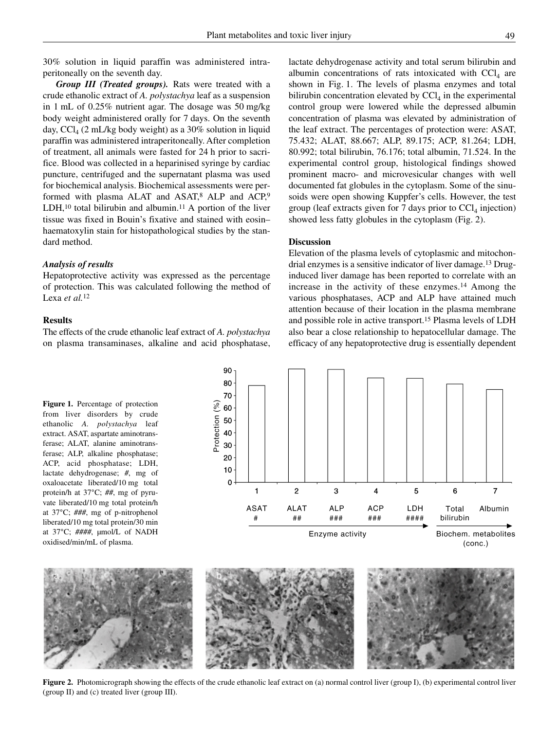30% solution in liquid paraffin was administered intraperitoneally on the seventh day.

*Group III (Treated groups).* Rats were treated with a crude ethanolic extract of *A. polystachya* leaf as a suspension in 1 mL of 0.25% nutrient agar. The dosage was 50 mg/kg body weight administered orally for 7 days. On the seventh day,  $CCl_4$  (2 mL/kg body weight) as a 30% solution in liquid paraffin was administered intraperitoneally. After completion of treatment, all animals were fasted for 24 h prior to sacrifice. Blood was collected in a heparinised syringe by cardiac puncture, centrifuged and the supernatant plasma was used for biochemical analysis. Biochemical assessments were performed with plasma ALAT and ASAT, $8$  ALP and ACP, $9$ LDH, $10$  total bilirubin and albumin. $11$  A portion of the liver tissue was fixed in Bouin's fixative and stained with eosin– haematoxylin stain for histopathological studies by the standard method.

# *Analysis of results*

Hepatoprotective activity was expressed as the percentage of protection. This was calculated following the method of Lexa *et al.*<sup>12</sup>

# **Results**

The effects of the crude ethanolic leaf extract of *A. polystachya* on plasma transaminases, alkaline and acid phosphatase, lactate dehydrogenase activity and total serum bilirubin and albumin concentrations of rats intoxicated with  $\text{CC}l<sub>4</sub>$  are shown in Fig. 1. The levels of plasma enzymes and total bilirubin concentration elevated by  $\text{CCI}_4$  in the experimental control group were lowered while the depressed albumin concentration of plasma was elevated by administration of the leaf extract. The percentages of protection were: ASAT, 75.432; ALAT, 88.667; ALP, 89.175; ACP, 81.264; LDH, 80.992; total bilirubin, 76.176; total albumin, 71.524. In the experimental control group, histological findings showed prominent macro- and microvesicular changes with well documented fat globules in the cytoplasm. Some of the sinusoids were open showing Kuppfer's cells. However, the test group (leaf extracts given for 7 days prior to  $\text{CCl}_4$  injection) showed less fatty globules in the cytoplasm (Fig. 2).

# **Discussion**

Elevation of the plasma levels of cytoplasmic and mitochondrial enzymes is a sensitive indicator of liver damage.13 Druginduced liver damage has been reported to correlate with an increase in the activity of these enzymes.14 Among the various phosphatases, ACP and ALP have attained much attention because of their location in the plasma membrane and possible role in active transport.15 Plasma levels of LDH also bear a close relationship to hepatocellular damage. The efficacy of any hepatoprotective drug is essentially dependent

**Figure 1.** Percentage of protection from liver disorders by crude ethanolic *A. polystachya* leaf extract. ASAT, aspartate aminotransferase; ALAT, alanine aminotransferase; ALP, alkaline phosphatase; ACP, acid phosphatase; LDH, lactate dehydrogenase; #, mg of oxaloacetate liberated/10 mg total protein/h at 37°C; ##, mg of pyruvate liberated/10 mg total protein/h at 37°C; ###, mg of p-nitrophenol liberated/10 mg total protein/30 min at 37°C; ####, µmol/L of NADH oxidised/min/mL of plasma.





**Figure 2.** Photomicrograph showing the effects of the crude ethanolic leaf extract on (a) normal control liver (group I), (b) experimental control liver (group II) and (c) treated liver (group III).